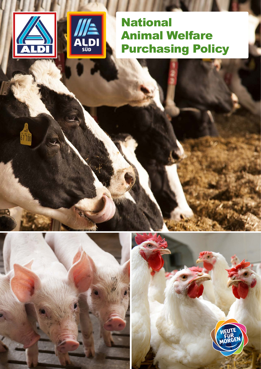

67700



**National** Animal Welfare Purchasing Policy



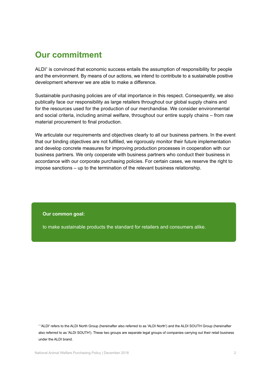# **Our commitment**

ALDI<sup>1</sup> is convinced that economic success entails the assumption of responsibility for people and the environment. By means of our actions, we intend to contribute to a sustainable positive development wherever we are able to make a difference.

Sustainable purchasing policies are of vital importance in this respect. Consequently, we also publically face our responsibility as large retailers throughout our global supply chains and for the resources used for the production of our merchandise. We consider environmental and social criteria, including animal welfare, throughout our entire supply chains – from raw material procurement to final production.

We articulate our requirements and objectives clearly to all our business partners. In the event that our binding objectives are not fulfilled, we rigorously monitor their future implementation and develop concrete measures for improving production processes in cooperation with our business partners. We only cooperate with business partners who conduct their business in accordance with our corporate purchasing policies. For certain cases, we reserve the right to impose sanctions – up to the termination of the relevant business relationship.

#### **Our common goal:**

to make sustainable products the standard for retailers and consumers alike.

1 'ALDI' refers to the ALDI North Group (hereinafter also referred to as 'ALDI North') and the ALDI SOUTH Group (hereinafter also referred to as 'ALDI SOUTH'). These two groups are separate legal groups of companies carrying out their retail business under the ALDI brand.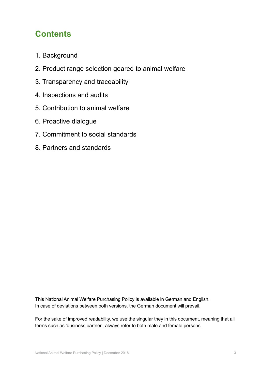# **Contents**

- 1. Background
- 2. Product range selection geared to animal welfare
- 3. Transparency and traceability
- 4. Inspections and audits
- 5. Contribution to animal welfare
- 6. Proactive dialogue
- 7. Commitment to social standards
- 8. Partners and standards

This National Animal Welfare Purchasing Policy is available in German and English. In case of deviations between both versions, the German document will prevail.

For the sake of improved readability, we use the singular they in this document, meaning that all terms such as 'business partner', always refer to both male and female persons.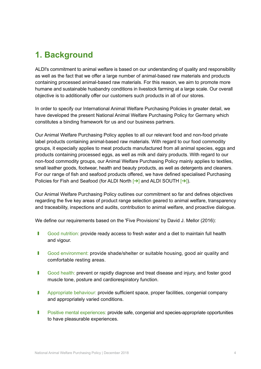# **1. Background**

ALDI's commitment to animal welfare is based on our understanding of quality and responsibility as well as the fact that we offer a large number of animal-based raw materials and products containing processed animal-based raw materials. For this reason, we aim to promote more humane and sustainable husbandry conditions in livestock farming at a large scale. Our overall objective is to additionally offer our customers such products in all of our stores.

In order to specify our International Animal Welfare Purchasing Policies in greater detail, we have developed the present National Animal Welfare Purchasing Policy for Germany which constitutes a binding framework for us and our business partners.

Our Animal Welfare Purchasing Policy applies to all our relevant food and non-food private label products containing animal-based raw materials. With regard to our food commodity groups, it especially applies to meat products manufactured from all animal species, eggs and products containing processed eggs, as well as milk and dairy products. With regard to our non-food commodity groups, our Animal Welfare Purchasing Policy mainly applies to textiles, small leather goods, footwear, health and beauty products, as well as detergents and cleaners. For our range of fish and seafood products offered, we have defined specialised Purchasing Policies for Fish and Seafood (for ALDI North [→] and ALDI SOUTH [→]).

Our Animal Welfare Purchasing Policy outlines our commitment so far and defines objectives regarding the five key areas of product range selection geared to animal welfare, transparency and traceability, inspections and audits, contribution to animal welfare, and proactive dialogue.

We define our requirements based on the 'Five Provisions' by David J. Mellor (2016):

- Good nutrition: provide ready access to fresh water and a diet to maintain full health and vigour.
- **I** Good environment: provide shade/shelter or suitable housing, good air quality and comfortable resting areas.
- **July Good health: prevent or rapidly diagnose and treat disease and injury, and foster good** muscle tone, posture and cardiorespiratory function.
- **I** Appropriate behaviour: provide sufficient space, proper facilities, congenial company and appropriately varied conditions.
- **I** Positive mental experiences: provide safe, congenial and species-appropriate opportunities to have pleasurable experiences.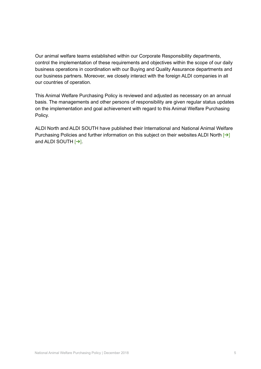Our animal welfare teams established within our Corporate Responsibility departments, control the implementation of these requirements and objectives within the scope of our daily business operations in coordination with our Buying and Quality Assurance departments and our business partners. Moreover, we closely interact with the foreign ALDI companies in all our countries of operation.

This Animal Welfare Purchasing Policy is reviewed and adjusted as necessary on an annual basis. The managements and other persons of responsibility are given regular status updates on the implementation and goal achievement with regard to this Animal Welfare Purchasing Policy.

ALDI North and ALDI SOUTH have published their International and National Animal Welfare Purchasing Policies and further information on this subject on their websites ALDI North  $\rightarrow$ and ALDI SOUTH [[➔](https://unternehmen.aldi-sued.de/de/verantwortung/lieferkette/landwirtschaft/)].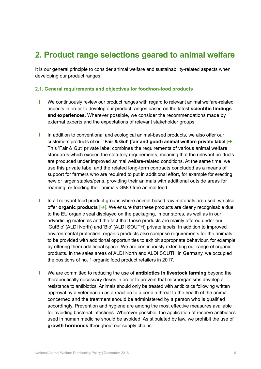# **2. Product range selections geared to animal welfare**

It is our general principle to consider animal welfare and sustainability-related aspects when developing our product ranges.

### **2.1. General requirements and objectives for food/non-food products**

- **I** We continuously review our product ranges with regard to relevant animal welfare-related aspects in order to develop our product ranges based on the latest **scientific findings and experiences**. Wherever possible, we consider the recommendations made by external experts and the expectations of relevant stakeholder groups.
- I In addition to conventional and ecological animal-based products, we also offer our customers products of our **'Fair & Gut' (fair and good) animal welfare private label** [[➔](https://fairundgut.aldi.de/)]. This 'Fair & Gut' private label combines the requirements of various animal welfare standards which exceed the statutory requirements, meaning that the relevant products are produced under improved animal welfare-related conditions. At the same time, we use this private label and the related long-term contracts concluded as a means of support for farmers who are required to put in additional effort, for example for erecting new or larger stables/pens, providing their animals with additional outside areas for roaming, or feeding their animals GMO-free animal feed.
- I In all relevant food product groups where animal-based raw materials are used, we also offer **organic products** [[➔](https://www.bmel.de/DE/Landwirtschaft/Nachhaltige-Landnutzung/Oekolandbau/oekolandbau_node.html)]. We ensure that these products are clearly recognisable due to the EU organic seal displayed on the packaging, in our stores, as well as in our advertising materials and the fact that these products are mainly offered under our 'GutBio' (ALDI North) and 'Bio' (ALDI SOUTH) private labels. In addition to improved environmental protection, organic products also comprise requirements for the animals to be provided with additional opportunities to exhibit appropriate behaviour, for example by offering them additional space. We are continuously extending our range of organic products. In the sales areas of ALDI North and ALDI SOUTH in Germany, we occupied the positions of no. 1 organic food product retailers in 2017.
- **I** We are committed to reducing the use of **antibiotics in livestock farming** beyond the therapeutically necessary doses in order to prevent that microorganisms develop a resistance to antibiotics. Animals should only be treated with antibiotics following written approval by a veterinarian as a reaction to a certain threat to the health of the animal concerned and the treatment should be administered by a person who is qualified accordingly. Prevention and hygiene are among the most effective measures available for avoiding bacterial infections. Wherever possible, the application of reserve antibiotics used in human medicine should be avoided. As stipulated by law, we prohibit the use of **growth hormones** throughout our supply chains.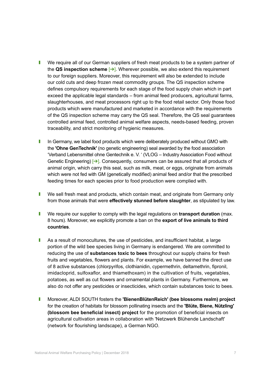- **I** We require all of our German suppliers of fresh meat products to be a system partner of the **QS inspection scheme** [[➔](https://www.qs-live.de)]. Wherever possible, we also extend this requirement to our foreign suppliers. Moreover, this requirement will also be extended to include our cold cuts and deep frozen meat commodity groups. The QS inspection scheme defines compulsory requirements for each stage of the food supply chain which in part exceed the applicable legal standards – from animal feed producers, agricultural farms, slaughterhouses, and meat processors right up to the food retail sector. Only those food products which were manufactured and marketed in accordance with the requirements of the QS inspection scheme may carry the QS seal. Therefore, the QS seal guarantees controlled animal feed, controlled animal welfare aspects, needs-based feeding, proven traceability, and strict monitoring of hygienic measures.
- I In Germany, we label food products which were deliberately produced without GMO with the **'Ohne GenTechnik'** (no genetic engineering) seal awarded by the food association 'Verband Lebensmittel ohne Gentechnik e. V. ' (VLOG – Industry Association Food without Genetic Engineering)  $\rightarrow$ . Consequently, consumers can be assured that all products of animal origin, which carry this seal, such as milk, meat, or eggs, originate from animals which were not fed with GM (genetically modified) animal feed and/or that the prescribed feeding times for each species prior to food production were complied with.
- **I** We sell fresh meat and products, which contain meat, and originate from Germany only from those animals that were **effectively stunned before slaughter**, as stipulated by law.
- **I** We require our supplier to comply with the legal requiations on **transport duration** (max. 8 hours). Moreover, we explicitly promote a ban on the **export of live animals to third countries**.
- **I** As a result of monocultures, the use of pesticides, and insufficient habitat, a large portion of the wild bee species living in Germany is endangered. We are committed to reducing the use of **substances toxic to bees** throughout our supply chains for fresh fruits and vegetables, flowers and plants. For example, we have banned the direct use of 8 active substances (chlorpyrifos, clothianidin, cypermethrin, deltamethrin, fipronil, imidacloprid, sulfoxaflor, and thiamethoxam) in the cultivation of fruits, vegetables, potatoes, as well as cut flowers and ornamental plants in Germany. Furthermore, we also do not offer any pesticides or insecticides, which contain substances toxic to bees.
- **I** Moreover, ALDI SOUTH fosters the **'BienenBlütenReich' (bee blossoms realm) project** for the creation of habitats for blossom pollinating insects and the **'Blüte, Biene, Nützling' (blossom bee beneficial insect) project** for the promotion of beneficial insects on agricultural cultivation areas in collaboration with 'Netzwerk Blühende Landschaft' (network for flourishing landscape), a German NGO.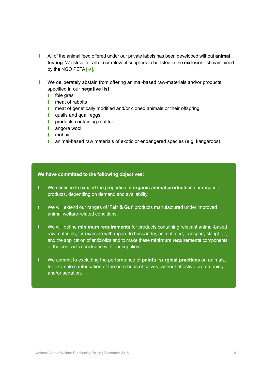- **I** All of the animal feed offered under our private labels has been developed without **animal testing**. We strive for all of our relevant suppliers to be listed in the exclusion list maintained by the NGO PETA  $\rightarrow$ ].
- **I** We deliberately abstain from offering animal-based raw-materials and/or products specified in our **negative list**:
	- $\blacksquare$  foie gras
	- $\blacksquare$  meat of rabbits
	- **I** meat of genetically modified and/or cloned animals or their offspring
	- **quails and quail eggs**
	- $\blacksquare$  products containing real fur
	- **I** angora wool
	- **I** mohair
	- **I** animal-based raw materials of exotic or endangered species (e.g. kangaroos).

- We continue to expand the proportion of **organic animal products** in our ranges of products, depending on demand and availability.
- We will extend our ranges of 'Fair & Gut' products manufactured under improved animal welfare-related conditions.
- We will define **minimum requirements** for products containing relevant animal-based raw materials, for example with regard to husbandry, animal feed, transport, slaughter, and the application of antibiotics and to make these **minimum requirements** components of the contracts concluded with our suppliers.
- We commit to excluding the performance of **painful surgical practices** on animals, for example cauterisation of the horn buds of calves, without effective pre-stunning and/or sedation.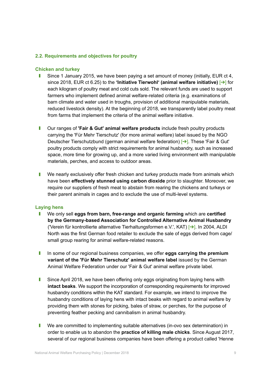### **2.2. Requirements and objectives for poultry**

#### **Chicken and turkey**

- **J** Since 1 January 2015, we have been paying a set amount of money (initially, EUR ct 4, since 2018, EUR ct 6.25) to the **'Initiative Tierwohl' (animal welfare initiative)** [[➔](https://initiative-tierwohl.de)] for each kilogram of poultry meat and cold cuts sold. The relevant funds are used to support farmers who implement defined animal welfare-related criteria (e.g. examinations of barn climate and water used in troughs, provision of additional manipulable materials, reduced livestock density). At the beginning of 2018, we transparently label poultry meat from farms that implement the criteria of the animal welfare initiative.
- **I** Our ranges of **'Fair & Gut' animal welfare products** include fresh poultry products carrying the 'Für Mehr Tierschutz' (for more animal welfare) label issued by the NGO Deutscher Tierschutzbund (german animal welfare federation) [[➔](https://www.tierschutzbund.de)]. These 'Fair & Gut' poultry products comply with strict requirements for animal husbandry, such as increased space, more time for growing up, and a more varied living environment with manipulable materials, perches, and access to outdoor areas.
- **I** We nearly exclusively offer fresh chicken and turkey products made from animals which have been **effectively stunned using carbon dioxide** prior to slaughter. Moreover, we require our suppliers of fresh meat to abstain from rearing the chickens and turkeys or their parent animals in cages and to exclude the use of multi-level systems.

#### **Laying hens**

- **I** We only sell **eggs from barn, free-range and organic farming** which are **certified by the Germany-based Association for Controlled Alternative Animal Husbandry** ('Verein für kontrollierte alternative Tierhaltungsformen e.V.', KAT) [[➔](https://www.was-steht-auf-dem-ei.de)]. In 2004, ALDI North was the first German food retailer to exclude the sale of eggs derived from cage/ small group rearing for animal welfare-related reasons.
- I In some of our regional business companies, we offer **eggs carrying the premium variant of the 'Für Mehr Tierschutz' animal welfare label** issued by the German Animal Welfare Federation under our 'Fair & Gut' animal welfare private label.
- **I** Since April 2018, we have been offering only eggs originating from laying hens with **intact beaks**. We support the incorporation of corresponding requirements for improved husbandry conditions within the KAT standard. For example, we intend to improve the husbandry conditions of laying hens with intact beaks with regard to animal welfare by providing them with stones for picking, bales of straw, or perches, for the purpose of preventing feather pecking and cannibalism in animal husbandry.
- **I** We are committed to implementing suitable alternatives (in-ovo sex determination) in order to enable us to abandon the **practice of killing male chicks**. Since August 2017, several of our regional business companies have been offering a product called 'Henne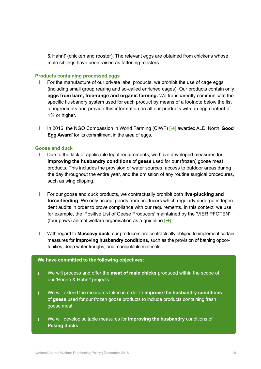& Hahn!' (chicken and rooster). The relevant eggs are obtained from chickens whose male siblings have been raised as fattening roosters.

#### **Products containing processed eggs**

- For the manufacture of our private label products, we prohibit the use of cage eggs (including small group rearing and so-called enriched cages). Our products contain only **eggs from barn, free-range and organic farming.** We transparently communicate the specific husbandry system used for each product by means of a footnote below the list of ingredients and provide this information on all our products with an egg content of 1% or higher.
- **■** In 2016, the NGO Compassion in World Farming (CIWF)  $\rightarrow$  awarded ALDI North **'Good Egg Award'** for its commitment in the area of eggs.

#### **Goose and duck**

- **I** Due to the lack of applicable legal requirements, we have developed measures for **improving the husbandry conditions** of **geese** used for our (frozen) goose meat products. This includes the provision of water sources, access to outdoor areas during the day throughout the entire year, and the omission of any routine surgical procedures, such as wing clipping.
- **I** For our goose and duck products, we contractually prohibit both **live-plucking and force-feeding**. We only accept goods from producers which regularly undergo independent audits in order to prove compliance with our requirements. In this context, we use, for example, the 'Positive List of Geese Producers' maintained by the 'VIER PFOTEN' (four paws) animal welfare organisation as a guideline  $\rightarrow$ ].
- **I** With regard to **Muscovy duck**, our producers are contractually obliged to implement certain measures for **improving husbandry conditions**, such as the provision of bathing opportunities, deep water troughs, and manipulable materials.

- **I** We will process and offer the **meat of male chicks** produced within the scope of our 'Henne & Hahn!' projects.
- We will extend the measures taken in order to **improve the husbandry conditions** of **geese** used for our frozen goose products to include products containing fresh goose meat.
- We will develop suitable measures for **improving the husbandry** conditions of **Peking ducks**.**2**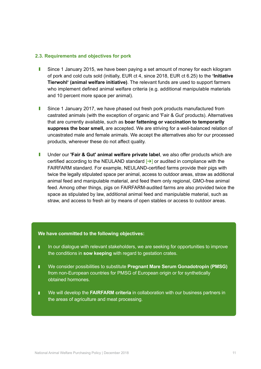#### **2.3. Requirements and objectives for pork**

- **I** Since 1 January 2015, we have been paying a set amount of money for each kilogram of pork and cold cuts sold (initially, EUR ct 4, since 2018, EUR ct 6.25) to the **'Initiative Tierwohl' (animal welfare initiative)**. The relevant funds are used to support farmers who implement defined animal welfare criteria (e.g. additional manipulable materials and 10 percent more space per animal).
- **July 3** Since 1 January 2017, we have phased out fresh pork products manufactured from castrated animals (with the exception of organic and 'Fair & Gut' products). Alternatives that are currently available, such as **boar fattening or vaccination to temporarily suppress the boar smell,** are accepted. We are striving for a well-balanced relation of uncastrated male and female animals. We accept the alternatives also for our processed products, wherever these do not affect quality.
- **I** Under our **'Fair & Gut' animal welfare private label**, we also offer products which are certified according to the NEULAND standard  $\rightarrow$  or audited in compliance with the FAIRFARM standard. For example, NEULAND-certified farms provide their pigs with twice the legally stipulated space per animal, access to outdoor areas, straw as additional animal feed and manipulable material, and feed them only regional, GMO-free animal feed. Among other things, pigs on FAIRFARM-audited farms are also provided twice the space as stipulated by law, additional animal feed and manipulable material, such as straw, and access to fresh air by means of open stables or access to outdoor areas.

- In our dialogue with relevant stakeholders, we are seeking for opportunities to improve the conditions in **sow keeping** with regard to gestation crates.
- We consider possibilities to substitute **Pregnant Mare Serum Gonadotropin (PMSG)** from non-European countries for PMSG of European origin or for synthetically obtained hormones.
- We will develop the FAIRFARM criteria in collaboration with our business partners in the areas of agriculture and meat processing.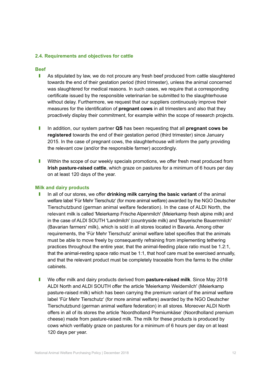#### **2.4. Requirements and objectives for cattle**

#### **Beef**

- **J** As stipulated by law, we do not procure any fresh beef produced from cattle slaughtered towards the end of their gestation period (third trimester), unless the animal concerned was slaughtered for medical reasons. In such cases, we require that a corresponding certificate issued by the responsible veterinarian be submitted to the slaughterhouse without delay. Furthermore, we request that our suppliers continuously improve their measures for the identification of **pregnant cows** in all trimesters and also that they proactively display their commitment, for example within the scope of research projects.
- I In addition, our system partner **QS** has been requesting that all **pregnant cows be registered** towards the end of their gestation period (third trimester) since January 2015. In the case of pregnant cows, the slaughterhouse will inform the party providing the relevant cow (and/or the responsible farmer) accordingly.
- **I** Within the scope of our weekly specials promotions, we offer fresh meat produced from **Irish pasture-raised cattle**, which graze on pastures for a minimum of 6 hours per day on at least 120 days of the year.

#### **Milk and dairy products**

- I In all of our stores, we offer **drinking milk carrying the basic variant** of the animal welfare label 'Für Mehr Tierschutz' (for more animal welfare) awarded by the NGO Deutscher Tierschutzbund (german animal welfare federation). In the case of ALDI North, the relevant milk is called 'Meierkamp Frische Alpenmilch' (Meierkamp fresh alpine milk) and in the case of ALDI SOUTH 'Landmilch' (countryside milk) and 'Bayerische Bauernmilch' (Bavarian farmers' milk), which is sold in all stores located in Bavaria. Among other requirements, the 'Für Mehr Tierschutz' animal welfare label specifies that the animals must be able to move freely by consequently refraining from implementing tethering practices throughout the entire year, that the animal-feeding place ratio must be 1.2:1, that the animal-resting space ratio must be 1:1, that hoof care must be exercised annually, and that the relevant product must be completely traceable from the farms to the chiller cabinets.
- **I** We offer milk and dairy products derived from **pasture-raised milk**. Since May 2018 ALDI North and ALDI SOUTH offer the article 'Meierkamp Weidemilch' (Meierkamp pasture-raised milk) which has been carrying the premium variant of the animal welfare label 'Für Mehr Tierschutz' (for more animal welfare) awarded by the NGO Deutscher Tierschutzbund (german animal welfare federation) in all stores. Moreover ALDI North offers in all of its stores the article 'Noordholland Premiumkäse' (Noordholland premium cheese) made from pasture-raised milk. The milk for these products is produced by cows which verifiably graze on pastures for a minimum of 6 hours per day on at least 120 days per year.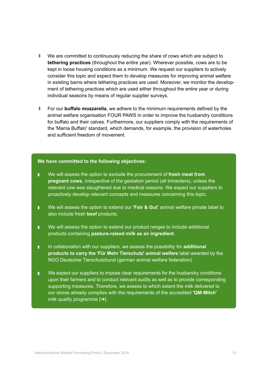- **I** We are committed to continuously reducing the share of cows which are subject to **tethering practices** (throughout the entire year). Wherever possible, cows are to be kept in loose housing conditions as a minimum. We request our suppliers to actively consider this topic and expect them to develop measures for improving animal welfare in existing barns where tethering practices are used. Moreover, we monitor the development of tethering practices which are used either throughout the entire year or during individual seasons by means of regular supplier surveys.
- **I** For our **buffalo mozzarella**, we adhere to the minimum requirements defined by the animal welfare organisation FOUR PAWS in order to improve the husbandry conditions for buffalo and their calves. Furthermore, our suppliers comply with the requirements of the 'Mama Buffalo' standard, which demands, for example, the provision of waterholes and sufficient freedom of movement.

- **I** We will assess the option to exclude the procurement of **fresh meat from pregnant cows**, irrespective of the gestation period (all trimesters), unless the relevant cow was slaughtered due to medical reasons. We expect our suppliers to proactively develop relevant concepts and measures concerning this topic.
- We will assess the option to extend our 'Fair & Gut' animal welfare private label to also include fresh **beef** products.
- We will assess the option to extend our product ranges to include additional products containing **pasture-raised milk as an ingredient**.
- In collaboration with our suppliers, we assess the possibility for **additional products to carry the 'Für Mehr Tierschutz' animal welfare** label awarded by the NGO Deutscher Tierschutzbund (german animal welfare federation).
- We expect our suppliers to impose clear requirements for the husbandry conditions upon their farmers and to conduct relevant audits as well as to provide corresponding supporting measures. Therefore, we assess to which extent the milk delivered to our stores already complies with the requirements of the accredited **'QM-Milch'** milk quality programme  $[\rightarrow]$ .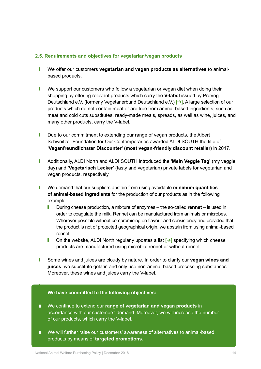#### **2.5. Requirements and objectives for vegetarian/vegan products**

- **I** We offer our customers **vegetarian and vegan products as alternatives** to animalbased products.
- $\blacksquare$  We support our customers who follow a vegetarian or vegan diet when doing their shopping by offering relevant products which carry the **V-label** issued by ProVeg Deutschland e.V. (formerly Vegetarierbund Deutschland e.V.) [→]. A large selection of our products which do not contain meat or are free from animal-based ingredients, such as meat and cold cuts substitutes, ready-made meals, spreads, as well as wine, juices, and many other products, carry the V-label.
- **I** Due to our commitment to extending our range of vegan products, the Albert Schweitzer Foundation for Our Contemporaries awarded ALDI SOUTH the title of **'Veganfreundlichster Discounter' (most vegan-friendly discount retailer)** in 2017.
- **J** Additionally, ALDI North and ALDI SOUTH introduced the **'Mein Veggie Tag'** (my veggie day) and **'Vegetarisch Lecker'** (tasty and vegetarian) private labels for vegetarian and vegan products, respectively.
- **I** We demand that our suppliers abstain from using avoidable minimum quantities **of animal-based ingredients** for the production of our products as in the following example:
	- **I** During cheese production, a mixture of enzymes the so-called **rennet** is used in order to coagulate the milk. Rennet can be manufactured from animals or microbes. Wherever possible without compromising on flavour and consistency and provided that the product is not of protected geographical origin, we abstain from using animal-based rennet.
	- **I** On the website, ALDI North regularly updates a list  $\rightarrow$  specifying which cheese products are manufactured using microbial rennet or without rennet.
- **I** Some wines and juices are cloudy by nature. In order to clarify our **vegan wines and juices**, we substitute gelatin and only use non-animal-based processing substances. Moreover, these wines and juices carry the V-label.

- We continue to extend our **range of vegetarian and vegan products** in accordance with our customers' demand. Moreover, we will increase the number of our products, which carry the V-label.
- We will further raise our customers' awareness of alternatives to animal-based products by means of **targeted promotions**.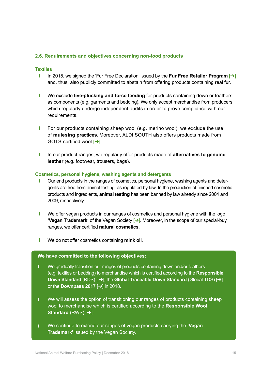### **2.6. Requirements and objectives concerning non-food products**

#### **Textiles**

- <sup>J</sup> In 2015, we signed the 'Fur Free Declaration' issued by the **Fur Free Retailer Program** [[➔](http://www.furfreeretailer.com/index.php)] and, thus, also publicly committed to abstain from offering products containing real fur.
- **I** We exclude **live-plucking and force feeding** for products containing down or feathers as components (e.g. garments and bedding). We only accept merchandise from producers, which regularly undergo independent audits in order to prove compliance with our requirements.
- **I** For our products containing sheep wool (e.g. merino wool), we exclude the use of **mulesing practices**. Moreover, ALDI SOUTH also offers products made from GOTS-certified wool [[➔](https://www.global-standard.org/de/)].
- I In our product ranges, we regularly offer products made of **alternatives to genuine leather** (e.g. footwear, trousers, bags).

#### **Cosmetics, personal hygiene, washing agents and detergents**

- **J** Our end products in the ranges of cosmetics, personal hygiene, washing agents and detergents are free from animal testing, as regulated by law. In the production of finished cosmetic products and ingredients, **animal testing** has been banned by law already since 2004 and 2009, respectively.
- **I** We offer vegan products in our ranges of cosmetics and personal hygiene with the logo **'Vegan Trademark'** of the Vegan Society [→]. Moreover, in the scope of our special-buy ranges, we offer certified **natural cosmetics**.
- **I** We do not offer cosmetics containing mink oil.

- **I** We gradually transition our ranges of products containing down and/or feathers (e.g. textiles or bedding) to merchandise which is certified according to the **Responsible Down Standard** (RDS) [**→**], the Global Traceable Down Standard (Global TDS) [→] or the **Downpass 2017** [[➔](https://www.downpass.com/de/homepage.html)] in 2018.
- We will assess the option of transitioning our ranges of products containing sheep wool to merchandise which is certified according to the **Responsible Wool Standard** (RWS) [[➔](http://www.responsiblewool.org)].
- We continue to extend our ranges of vegan products carrying the **'Vegan Trademark'** issued by the Vegan Society.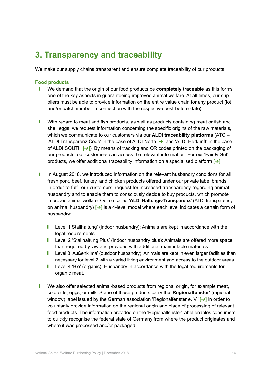# **3. Transparency and traceability**

We make our supply chains transparent and ensure complete traceability of our products.

#### **Food products**

- **I** We demand that the origin of our food products be **completely traceable** as this forms one of the key aspects in guaranteeing improved animal welfare. At all times, our suppliers must be able to provide information on the entire value chain for any product (lot and/or batch number in connection with the respective best-before-date).
- **I** With regard to meat and fish products, as well as products containing meat or fish and shell eggs, we request information concerning the specific origins of the raw materials, which we communicate to our customers via our **ALDI traceability platforms** (ATC – 'ALDI Transparenz Code' in the case of ALDI North [[➔](http://transparenz.aldi-nord.de/)] and 'ALDI Herkunft' in the case of ALDI SOUTH  $\rightarrow$ ]). By means of tracking and QR codes printed on the packaging of our products, our customers can access the relevant information. For our 'Fair & Gut' products, we offer additional traceability information on a specialised platform  $[\rightarrow]$ .
- In August 2018, we introduced information on the relevant husbandry conditions for all fresh pork, beef, turkey, and chicken products offered under our private label brands in order to fulfil our customers' request for increased transparency regarding animal husbandry and to enable them to consciously decide to buy products, which promote improved animal welfare. Our so-called **'ALDI Haltungs-Transparenz'** (ALDI transparency on animal husbandry)  $\rightarrow$  is a 4-level model where each level indicates a certain form of husbandry:
	- **I** Level 1'Stallhaltung' (indoor husbandry): Animals are kept in accordance with the legal requirements.
	- **I** Level 2 'Stallhaltung Plus' (indoor husbandry plus): Animals are offered more space than required by law and provided with additional manipulable materials.
	- **I** Level 3 'Außenklima' (outdoor husbandry): Animals are kept in even larger facilities than necessary for level 2 with a varied living environment and access to the outdoor areas.
	- **I** Level 4 'Bio' (organic): Husbandry in accordance with the legal requirements for organic meat.
- **I** We also offer selected animal-based products from regional origin, for example meat, cold cuts, eggs, or milk. Some of these products carry the '**Regionalfenster**' (regional window) label issued by the German association 'Regionalfenster e. V.' [→] in order to voluntarily provide information on the regional origin and place of processing of relevant food products. The information provided on the 'Regionalfenster' label enables consumers to quickly recognise the federal state of Germany from where the product originates and where it was processed and/or packaged.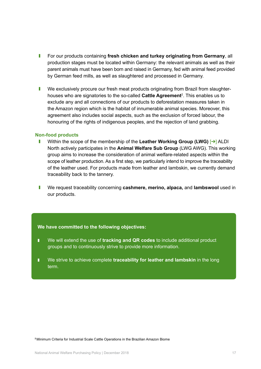- **I** For our products containing fresh chicken and turkey originating from Germany, all production stages must be located within Germany: the relevant animals as well as their parent animals must have been born and raised in Germany, fed with animal feed provided by German feed mills, as well as slaughtered and processed in Germany.
- **I** We exclusively procure our fresh meat products originating from Brazil from slaughterhouses who are signatories to the so-called **Cattle Agreement**<sup>2</sup>. This enables us to exclude any and all connections of our products to deforestation measures taken in the Amazon region which is the habitat of innumerable animal species. Moreover, this agreement also includes social aspects, such as the exclusion of forced labour, the honouring of the rights of indigenous peoples, and the rejection of land grabbing.

#### **Non-food products**

- <sup>J</sup> Within the scope of the membership of the **Leather Working Group (LWG)** [[➔](https://www.leatherworkinggroup.com)] ALDI North actively participates in the **Animal Welfare Sub Group** (LWG AWG). This working group aims to increase the consideration of animal welfare-related aspects within the scope of leather production. As a first step, we particularly intend to improve the traceability of the leather used. For products made from leather and lambskin, we currently demand traceability back to the tannery.
- **I** We request traceability concerning **cashmere, merino, alpaca, and lambswool** used in our products.

#### **We have committed to the following objectives:**

- We will extend the use of **tracking and QR codes** to include additional product groups and to continuously strive to provide more information.
- We strive to achieve complete **traceability for leather and lambskin** in the long term.

**2** Minimum Criteria for Industrial Scale Cattle Operations in the Brazilian Amazon Biome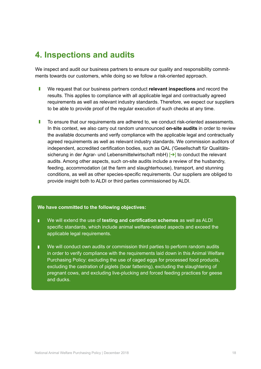# **4. Inspections and audits**

We inspect and audit our business partners to ensure our quality and responsibility commitments towards our customers, while doing so we follow a risk-oriented approach.

- **I** We request that our business partners conduct **relevant inspections** and record the results. This applies to compliance with all applicable legal and contractually agreed requirements as well as relevant industry standards. Therefore, we expect our suppliers to be able to provide proof of the regular execution of such checks at any time.
- **I** To ensure that our requirements are adhered to, we conduct risk-oriented assessments. In this context, we also carry out random unannounced **on-site audits** in order to review the available documents and verify compliance with the applicable legal and contractually agreed requirements as well as relevant industry standards. We commission auditors of independent, accredited certification bodies, such as QAL ('Gesellschaft für Qualitätssicherung in der Agrar- und Lebensmittelwirtschaft mbH) [→] to conduct the relevant audits. Among other aspects, such on-site audits include a review of the husbandry, feeding, accommodation (at the farm and slaughterhouse), transport, and stunning conditions, as well as other species-specific requirements. Our suppliers are obliged to provide insight both to ALDI or third parties commissioned by ALDI.

- We will extend the use of **testing and certification schemes** as well as ALDI specific standards, which include animal welfare-related aspects and exceed the applicable legal requirements.
- We will conduct own audits or commission third parties to perform random audits in order to verify compliance with the requirements laid down in this Animal Welfare Purchasing Policy: excluding the use of caged eggs for processed food products, excluding the castration of piglets (boar fattening), excluding the slaughtering of pregnant cows, and excluding live-plucking and forced feeding practices for geese and ducks.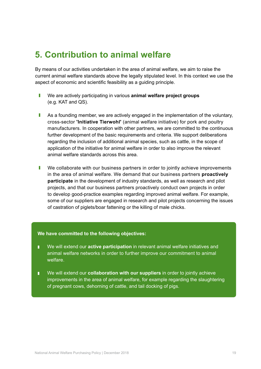# **5. Contribution to animal welfare**

By means of our activities undertaken in the area of animal welfare, we aim to raise the current animal welfare standards above the legally stipulated level. In this context we use the aspect of economic and scientific feasibility as a guiding principle.

- **I** We are actively participating in various **animal welfare project groups** (e.g. KAT and QS).
- **J** As a founding member, we are actively engaged in the implementation of the voluntary, cross-sector **'Initiative Tierwohl'** (animal welfare initiative) for pork and poultry manufacturers. In cooperation with other partners, we are committed to the continuous further development of the basic requirements and criteria. We support deliberations regarding the inclusion of additional animal species, such as cattle, in the scope of application of the initiative for animal welfare in order to also improve the relevant animal welfare standards across this area.
- **I** We collaborate with our business partners in order to jointly achieve improvements in the area of animal welfare. We demand that our business partners **proactively participate** in the development of industry standards, as well as research and pilot projects, and that our business partners proactively conduct own projects in order to develop good-practice examples regarding improved animal welfare. For example, some of our suppliers are engaged in research and pilot projects concerning the issues of castration of piglets/boar fattening or the killing of male chicks.

- We will extend our **active participation** in relevant animal welfare initiatives and animal welfare networks in order to further improve our commitment to animal welfare.
- **I** We will extend our **collaboration with our suppliers** in order to jointly achieve improvements in the area of animal welfare, for example regarding the slaughtering of pregnant cows, dehorning of cattle, and tail docking of pigs.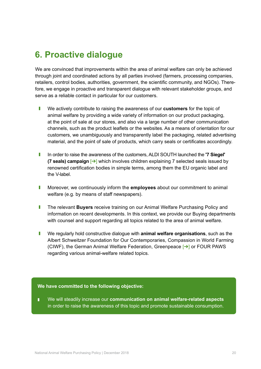# **6. Proactive dialogue**

We are convinced that improvements within the area of animal welfare can only be achieved through joint and coordinated actions by all parties involved (farmers, processing companies, retailers, control bodies, authorities, government, the scientific community, and NGOs). Therefore, we engage in proactive and transparent dialogue with relevant stakeholder groups, and serve as a reliable contact in particular for our customers.

- **I** We actively contribute to raising the awareness of our **customers** for the topic of animal welfare by providing a wide variety of information on our product packaging, at the point of sale at our stores, and also via a large number of other communication channels, such as the product leaflets or the websites. As a means of orientation for our customers, we unambiguously and transparently label the packaging, related advertising material, and the point of sale of products, which carry seals or certificates accordingly.
- In order to raise the awareness of the customers, ALDI SOUTH launched the **'7 Siegel' (7 seals) campaign** [[➔](http://aldi-sued.de/7siegel)] which involves children explaining 7 selected seals issued by renowned certification bodies in simple terms, among them the EU organic label and the V-label.
- **I** Moreover, we continuously inform the **employees** about our commitment to animal welfare (e.g. by means of staff newspapers).
- **I** The relevant **Buyers** receive training on our Animal Welfare Purchasing Policy and information on recent developments. In this context, we provide our Buying departments with counsel and support regarding all topics related to the area of animal welfare.
- **I** We regularly hold constructive dialogue with **animal welfare organisations**, such as the Albert Schweitzer Foundation for Our Contemporaries, Compassion in World Farming (CIWF), the German Animal Welfare Federation, Greenpeace [[➔](https://www.greenpeace.de/)] or FOUR PAWS regarding various animal-welfare related topics.

#### **We have committed to the following objective:**

■ We will steadily increase our **communication on animal welfare-related aspects** in order to raise the awareness of this topic and promote sustainable consumption.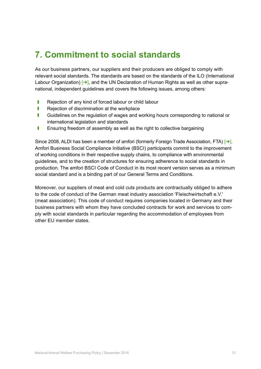# **7. Commitment to social standards**

As our business partners, our suppliers and their producers are obliged to comply with relevant social standards. The standards are based on the standards of the ILO (International Labour Organization)  $[\rightarrow]$ , and the UN Declaration of Human Rights as well as other supranational, independent guidelines and covers the following issues, among others:

- **I** Rejection of any kind of forced labour or child labour
- **I** Rejection of discrimination at the workplace
- **I** Guidelines on the regulation of wages and working hours corresponding to national or international legislation and standards
- **I** Ensuring freedom of assembly as well as the right to collective bargaining

Since 2008, ALDI has been a member of amfori (formerly Foreign Trade Association, FTA)  $\rightarrow$ . Amfori Business Social Compliance Initiative (BSCI) participants commit to the improvement of working conditions in their respective supply chains, to compliance with environmental guidelines, and to the creation of structures for ensuring adherence to social standards in production. The amfori BSCI Code of Conduct in its most recent version serves as a minimum social standard and is a binding part of our General Terms and Conditions.

Moreover, our suppliers of meat and cold cuts products are contractually obliged to adhere to the code of conduct of the German meat industry association 'Fleischwirtschaft e.V.' (meat association). This code of conduct requires companies located in Germany and their business partners with whom they have concluded contracts for work and services to comply with social standards in particular regarding the accommodation of employees from other EU member states.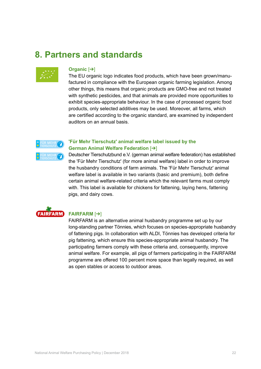# **8. Partners and standards**



#### **Organic** [[➔](https://www.bmel.de/DE/Landwirtschaft/Nachhaltige-Landnutzung/Oekolandbau/oekolandbau_node.html)]

The EU organic logo indicates food products, which have been grown/manufactured in compliance with the European organic farming legislation. Among other things, this means that organic products are GMO-free and not treated with synthetic pesticides, and that animals are provided more opportunities to exhibit species-appropriate behaviour. In the case of processed organic food products, only selected additives may be used. Moreover, all farms, which are certified according to the organic standard, are examined by independent auditors on an annual basis.



## **'Für Mehr Tierschutz' animal welfare label issued by the German Animal Welfare Federation** [[➔](https://www.tierschutzlabel.info/)]

Deutscher Tierschutzbund e.V. (german animal welfare federation) has established the 'Für Mehr Tierschutz' (for more animal welfare) label in order to improve the husbandry conditions of farm animals. The 'Für Mehr Tierschutz' animal welfare label is available in two variants (basic and premium), both define certain animal welfare-related criteria which the relevant farms must comply with. This label is available for chickens for fattening, laying hens, fattening pigs, and dairy cows.



### **FAIRFARM** [[➔](http://www.fairfarm.net/)]

FAIRFARM is an alternative animal husbandry programme set up by our long-standing partner Tönnies, which focuses on species-appropriate husbandry of fattening pigs. In collaboration with ALDI, Tönnies has developed criteria for pig fattening, which ensure this species-appropriate animal husbandry. The participating farmers comply with these criteria and, consequently, improve animal welfare. For example, all pigs of farmers participating in the FAIRFARM programme are offered 100 percent more space than legally required, as well as open stables or access to outdoor areas.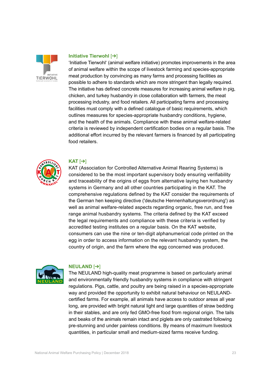

#### **Initiative Tierwohl** [[➔](https://initiative-tierwohl.de)]

'Initiative Tierwohl' (animal welfare initiative) promotes improvements in the area of animal welfare within the scope of livestock farming and species-appropriate meat production by convincing as many farms and processing facilities as possible to adhere to standards which are more stringent than legally required. The initiative has defined concrete measures for increasing animal welfare in pig, chicken, and turkey husbandry in close collaboration with farmers, the meat processing industry, and food retailers. All participating farms and processing facilities must comply with a defined catalogue of basic requirements, which outlines measures for species-appropriate husbandry conditions, hygiene, and the health of the animals. Compliance with these animal welfare-related criteria is reviewed by independent certification bodies on a regular basis. The additional effort incurred by the relevant farmers is financed by all participating food retailers.



### **KAT** [[➔](https://www.was-steht-auf-dem-ei.de)]

KAT (Association for Controlled Alternative Animal Rearing Systems) is considered to be the most important supervisory body ensuring verifiability and traceability of the origins of eggs from alternative laying hen husbandry systems in Germany and all other countries participating in the KAT. The comprehensive regulations defined by the KAT consider the requirements of the German hen keeping directive ('deutsche Hennenhaltungsverordnung') as well as animal welfare-related aspects regarding organic, free run, and free range animal husbandry systems. The criteria defined by the KAT exceed the legal requirements and compliance with these criteria is verified by accredited testing institutes on a regular basis. On the KAT website, consumers can use the nine or ten-digit alphanumerical code printed on the egg in order to access information on the relevant husbandry system, the country of origin, and the farm where the egg concerned was produced.



#### **NEULAND** [[➔](http://www.neuland-fleisch.de)]

The NEULAND high-quality meat programme is based on particularly animal and environmentally friendly husbandry systems in compliance with stringent regulations. Pigs, cattle, and poultry are being raised in a species-appropriate way and provided the opportunity to exhibit natural behaviour on NEULANDcertified farms. For example, all animals have access to outdoor areas all year long, are provided with bright natural light and large quantities of straw bedding in their stables, and are only fed GMO-free food from regional origin. The tails and beaks of the animals remain intact and piglets are only castrated following pre-stunning and under painless conditions. By means of maximum livestock quantities, in particular small and medium-sized farms receive funding.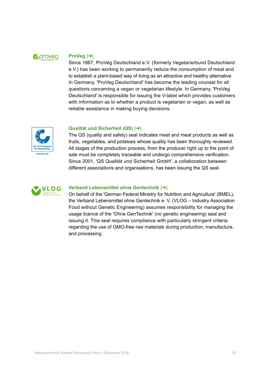

### **ProVeg** [[➔](https://proveg.com/de/)]

Since 1867, ProVeg Deutschland e.V. (formerly Vegetarierbund Deutschland e.V.) has been working to permanently reduce the consumption of meat and to establish a plant-based way of living as an attractive and healthy alternative. In Germany, 'ProVeg Deutschland' has become the leading counsel for all questions concerning a vegan or vegetarian lifestyle. In Germany, 'ProVeg Deutschland' is responsible for issuing the V-label which provides customers with information as to whether a product is vegetarian or vegan, as well as reliable assistance in making buying decisions.



### **Qualität und Sicherheit (QS)** [[➔](https://www.q-s.de/)]

The QS (quality and safety) seal indicates meat and meat products as well as fruits, vegetables, and potatoes whose quality has been thoroughly reviewed. All stages of the production process, from the producer right up to the point of sale must be completely traceable and undergo comprehensive verification. Since 2001, 'QS Qualität und Sicherheit GmbH', a collaboration between different associations and organisations, has been issuing the QS seal.



### **Verband Lebensmittel ohne Gentechnik** [[➔](http://www.ohnegentechnik.org)]

On behalf of the 'German Federal Ministry for Nutrition and Agriculture' (BMEL), the Verband Lebensmittel ohne Gentechnik e. V. (VLOG – Industry Association Food without Genetic Engineering) assumes responsibility for managing the usage licence of the 'Ohne GenTechnik' (no genetic engineering) seal and issuing it. This seal requires compliance with particularly stringent criteria regarding the use of GMO-free raw materials during production, manufacture, and processing.